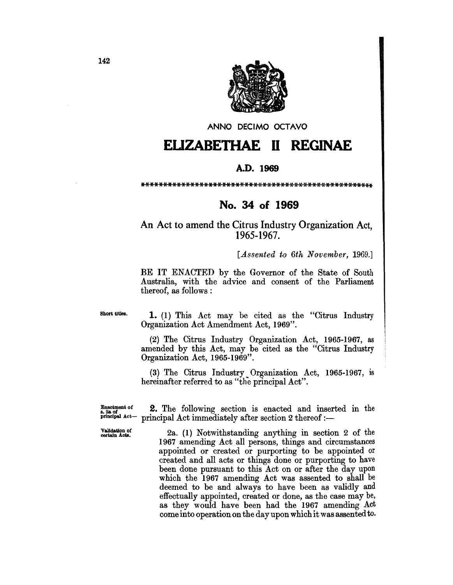

ANNO DECIMO OCTAVO

## **EUZABETHAE 11 REGINAE**

## A.D. 1969

\*\*\*\*\*\*\*\*\*\*\*\*\*\*\*\*\*\*\*\*\*\*\*\*\*\*\*\*\*\*\*\*\*\*\*\*\*\*\*\*\*\*\*\*\*\*\*\*\*\*\*\*

## No. 34 of 1969

An Act to amend the Citrus Industry Organization Act, 1965-1967.

[*Assented to 6th November, 1969.*]

BE IT ENACTED by the Governor of the State of South Australia, with the advice and consent of the Parliament thereof, as follows :

Short titles.

1. (1) This Act may be cited as the "Citrus Industry Organization Act Amendment Act, 1969".

(2) The Citrus Industry Organization Act, 1965-1967, as amended by this Act, may be cited as the "Citrus Industry Organization Act, 1965-1969".

(3) The Citrus Industry Organization Act, 1965-1967, is hereinafter referred to as "the principal Act".

**Ensotment of** 2. The following section is enacted and inserted in the principal  $Act$  - principal  $Act$  immediately after section 2 thereof  $$ principal Act immediately after section 2 thereof : $-$ 

 $\frac{V}{\text{sublation of}}$  2a. (1) Notwithstanding anything in section 2 of the 1967 amending Act all persons, things and circumstances appointed or created or purporting to be appointed or created and all acts or things done or purporting to have been done pursuant to this Act on or after the day upon which the 1967 amending Act was assented to shall be deemed to be and always to have been as validly and effectually appointed, created or done, as the case may be, as they would have been had the 1967 amending Act come into operation on the day upon which it was assented to.